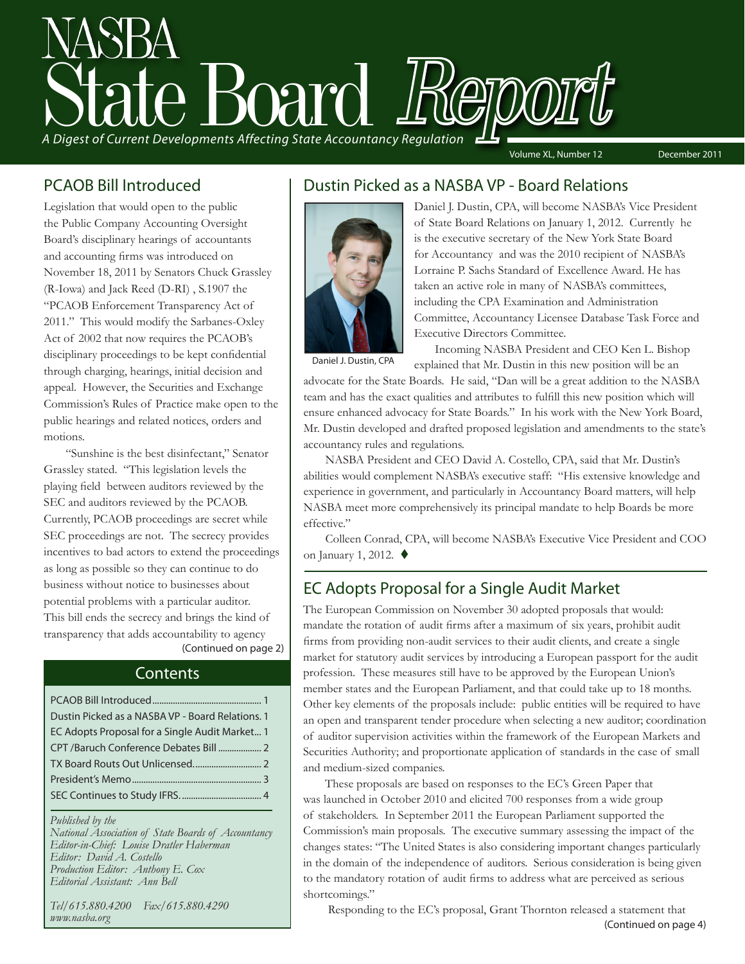# State Board Report *A Digest of Current Developments Affecting State Accountancy Regulation*

Volume XL, Number 12 December 2011

### PCAOB Bill Introduced

Legislation that would open to the public the Public Company Accounting Oversight Board's disciplinary hearings of accountants and accounting firms was introduced on November 18, 2011 by Senators Chuck Grassley (R-Iowa) and Jack Reed (D-RI) , S.1907 the "PCAOB Enforcement Transparency Act of 2011." This would modify the Sarbanes-Oxley Act of 2002 that now requires the PCAOB's disciplinary proceedings to be kept confidential through charging, hearings, initial decision and appeal. However, the Securities and Exchange Commission's Rules of Practice make open to the public hearings and related notices, orders and motions.

(Continued on page 2) "Sunshine is the best disinfectant," Senator Grassley stated. "This legislation levels the playing field between auditors reviewed by the SEC and auditors reviewed by the PCAOB. Currently, PCAOB proceedings are secret while SEC proceedings are not. The secrecy provides incentives to bad actors to extend the proceedings as long as possible so they can continue to do business without notice to businesses about potential problems with a particular auditor. This bill ends the secrecy and brings the kind of transparency that adds accountability to agency

### **Contents**

| Dustin Picked as a NASBA VP - Board Relations. 1 |
|--------------------------------------------------|
| EC Adopts Proposal for a Single Audit Market 1   |
|                                                  |
|                                                  |
|                                                  |
|                                                  |

*Published by the* 

*National Association of State Boards of Accountancy Editor-in-Chief: Louise Dratler Haberman Editor: David A. Costello Production Editor: Anthony E. Cox Editorial Assistant: Ann Bell* 

*Tel/615.880.4200 Fax/615.880.4290 www.nasba.org*

### Dustin Picked as a NASBA VP - Board Relations



Daniel J. Dustin, CPA

Daniel J. Dustin, CPA, will become NASBA's Vice President of State Board Relations on January 1, 2012. Currently he is the executive secretary of the New York State Board for Accountancy and was the 2010 recipient of NASBA's Lorraine P. Sachs Standard of Excellence Award. He has taken an active role in many of NASBA's committees, including the CPA Examination and Administration Committee, Accountancy Licensee Database Task Force and Executive Directors Committee.

Incoming NASBA President and CEO Ken L. Bishop explained that Mr. Dustin in this new position will be an

advocate for the State Boards. He said, "Dan will be a great addition to the NASBA team and has the exact qualities and attributes to fulfill this new position which will ensure enhanced advocacy for State Boards." In his work with the New York Board, Mr. Dustin developed and drafted proposed legislation and amendments to the state's accountancy rules and regulations.

NASBA President and CEO David A. Costello, CPA, said that Mr. Dustin's abilities would complement NASBA's executive staff: "His extensive knowledge and experience in government, and particularly in Accountancy Board matters, will help NASBA meet more comprehensively its principal mandate to help Boards be more effective."

Colleen Conrad, CPA, will become NASBA's Executive Vice President and COO on January 1, 2012.  $\blacklozenge$ 

### EC Adopts Proposal for a Single Audit Market

The European Commission on November 30 adopted proposals that would: mandate the rotation of audit firms after a maximum of six years, prohibit audit firms from providing non-audit services to their audit clients, and create a single market for statutory audit services by introducing a European passport for the audit profession. These measures still have to be approved by the European Union's member states and the European Parliament, and that could take up to 18 months. Other key elements of the proposals include: public entities will be required to have an open and transparent tender procedure when selecting a new auditor; coordination of auditor supervision activities within the framework of the European Markets and Securities Authority; and proportionate application of standards in the case of small and medium-sized companies.

These proposals are based on responses to the EC's Green Paper that was launched in October 2010 and elicited 700 responses from a wide group of stakeholders. In September 2011 the European Parliament supported the Commission's main proposals. The executive summary assessing the impact of the changes states: "The United States is also considering important changes particularly in the domain of the independence of auditors. Serious consideration is being given to the mandatory rotation of audit firms to address what are perceived as serious shortcomings."

 Responding to the EC's proposal, Grant Thornton released a statement that (Continued on page 4)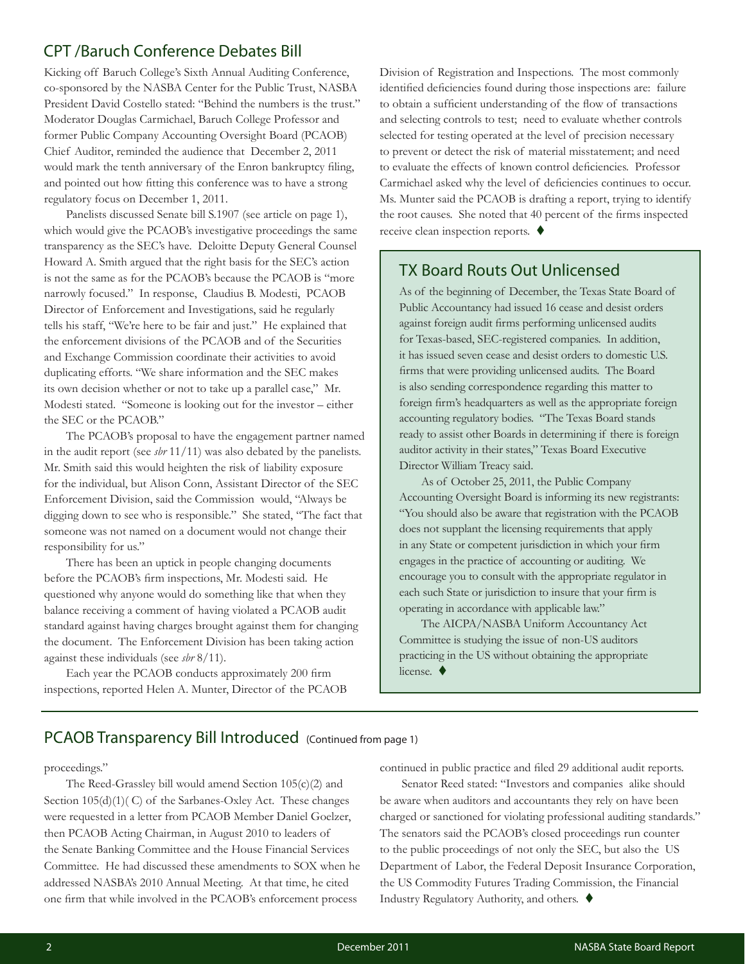### CPT /Baruch Conference Debates Bill

Kicking off Baruch College's Sixth Annual Auditing Conference, co-sponsored by the NASBA Center for the Public Trust, NASBA President David Costello stated: "Behind the numbers is the trust." Moderator Douglas Carmichael, Baruch College Professor and former Public Company Accounting Oversight Board (PCAOB) Chief Auditor, reminded the audience that December 2, 2011 would mark the tenth anniversary of the Enron bankruptcy filing, and pointed out how fitting this conference was to have a strong regulatory focus on December 1, 2011.

Panelists discussed Senate bill S.1907 (see article on page 1), which would give the PCAOB's investigative proceedings the same transparency as the SEC's have. Deloitte Deputy General Counsel Howard A. Smith argued that the right basis for the SEC's action is not the same as for the PCAOB's because the PCAOB is "more narrowly focused." In response, Claudius B. Modesti, PCAOB Director of Enforcement and Investigations, said he regularly tells his staff, "We're here to be fair and just." He explained that the enforcement divisions of the PCAOB and of the Securities and Exchange Commission coordinate their activities to avoid duplicating efforts. "We share information and the SEC makes its own decision whether or not to take up a parallel case," Mr. Modesti stated. "Someone is looking out for the investor – either the SEC or the PCAOB."

The PCAOB's proposal to have the engagement partner named in the audit report (see *sbr* 11/11) was also debated by the panelists. Mr. Smith said this would heighten the risk of liability exposure for the individual, but Alison Conn, Assistant Director of the SEC Enforcement Division, said the Commission would, "Always be digging down to see who is responsible." She stated, "The fact that someone was not named on a document would not change their responsibility for us."

There has been an uptick in people changing documents before the PCAOB's firm inspections, Mr. Modesti said. He questioned why anyone would do something like that when they balance receiving a comment of having violated a PCAOB audit standard against having charges brought against them for changing the document. The Enforcement Division has been taking action against these individuals (see *sbr* 8/11).

Each year the PCAOB conducts approximately 200 firm inspections, reported Helen A. Munter, Director of the PCAOB Division of Registration and Inspections. The most commonly identified deficiencies found during those inspections are: failure to obtain a sufficient understanding of the flow of transactions and selecting controls to test; need to evaluate whether controls selected for testing operated at the level of precision necessary to prevent or detect the risk of material misstatement; and need to evaluate the effects of known control deficiencies. Professor Carmichael asked why the level of deficiencies continues to occur. Ms. Munter said the PCAOB is drafting a report, trying to identify the root causes. She noted that 40 percent of the firms inspected receive clean inspection reports.  $\blacklozenge$ 

### TX Board Routs Out Unlicensed

As of the beginning of December, the Texas State Board of Public Accountancy had issued 16 cease and desist orders against foreign audit firms performing unlicensed audits for Texas-based, SEC-registered companies. In addition, it has issued seven cease and desist orders to domestic U.S. firms that were providing unlicensed audits. The Board is also sending correspondence regarding this matter to foreign firm's headquarters as well as the appropriate foreign accounting regulatory bodies. "The Texas Board stands ready to assist other Boards in determining if there is foreign auditor activity in their states," Texas Board Executive Director William Treacy said.

As of October 25, 2011, the Public Company Accounting Oversight Board is informing its new registrants: "You should also be aware that registration with the PCAOB does not supplant the licensing requirements that apply in any State or competent jurisdiction in which your firm engages in the practice of accounting or auditing. We encourage you to consult with the appropriate regulator in each such State or jurisdiction to insure that your firm is operating in accordance with applicable law."

The AICPA/NASBA Uniform Accountancy Act Committee is studying the issue of non-US auditors practicing in the US without obtaining the appropriate license.  $\blacklozenge$ 

#### PCAOB Transparency Bill Introduced (Continued from page 1)

proceedings."

The Reed-Grassley bill would amend Section 105(c)(2) and Section 105(d)(1)(C) of the Sarbanes-Oxley Act. These changes were requested in a letter from PCAOB Member Daniel Goelzer, then PCAOB Acting Chairman, in August 2010 to leaders of the Senate Banking Committee and the House Financial Services Committee. He had discussed these amendments to SOX when he addressed NASBA's 2010 Annual Meeting. At that time, he cited one firm that while involved in the PCAOB's enforcement process

continued in public practice and filed 29 additional audit reports.

Senator Reed stated: "Investors and companies alike should be aware when auditors and accountants they rely on have been charged or sanctioned for violating professional auditing standards." The senators said the PCAOB's closed proceedings run counter to the public proceedings of not only the SEC, but also the US Department of Labor, the Federal Deposit Insurance Corporation, the US Commodity Futures Trading Commission, the Financial Industry Regulatory Authority, and others.  $\blacklozenge$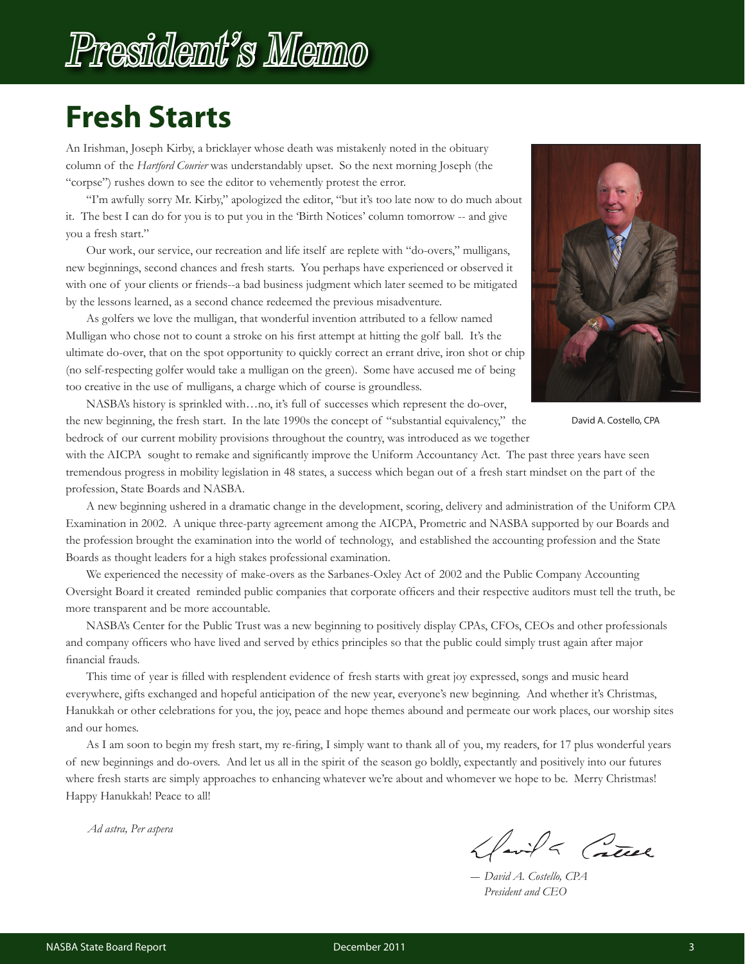## President's Memo

### **Fresh Starts**

An Irishman, Joseph Kirby, a bricklayer whose death was mistakenly noted in the obituary column of the *Hartford Courier* was understandably upset. So the next morning Joseph (the "corpse") rushes down to see the editor to vehemently protest the error.

"I'm awfully sorry Mr. Kirby," apologized the editor, "but it's too late now to do much about it. The best I can do for you is to put you in the 'Birth Notices' column tomorrow -- and give you a fresh start."

Our work, our service, our recreation and life itself are replete with "do-overs," mulligans, new beginnings, second chances and fresh starts. You perhaps have experienced or observed it with one of your clients or friends--a bad business judgment which later seemed to be mitigated by the lessons learned, as a second chance redeemed the previous misadventure.

As golfers we love the mulligan, that wonderful invention attributed to a fellow named Mulligan who chose not to count a stroke on his first attempt at hitting the golf ball. It's the ultimate do-over, that on the spot opportunity to quickly correct an errant drive, iron shot or chip (no self-respecting golfer would take a mulligan on the green). Some have accused me of being too creative in the use of mulligans, a charge which of course is groundless.



David A. Costello, CPA

NASBA's history is sprinkled with…no, it's full of successes which represent the do-over, the new beginning, the fresh start. In the late 1990s the concept of "substantial equivalency," the bedrock of our current mobility provisions throughout the country, was introduced as we together

with the AICPA sought to remake and significantly improve the Uniform Accountancy Act. The past three years have seen tremendous progress in mobility legislation in 48 states, a success which began out of a fresh start mindset on the part of the profession, State Boards and NASBA.

A new beginning ushered in a dramatic change in the development, scoring, delivery and administration of the Uniform CPA Examination in 2002. A unique three-party agreement among the AICPA, Prometric and NASBA supported by our Boards and the profession brought the examination into the world of technology, and established the accounting profession and the State Boards as thought leaders for a high stakes professional examination.

We experienced the necessity of make-overs as the Sarbanes-Oxley Act of 2002 and the Public Company Accounting Oversight Board it created reminded public companies that corporate officers and their respective auditors must tell the truth, be more transparent and be more accountable.

NASBA's Center for the Public Trust was a new beginning to positively display CPAs, CFOs, CEOs and other professionals and company officers who have lived and served by ethics principles so that the public could simply trust again after major financial frauds.

This time of year is filled with resplendent evidence of fresh starts with great joy expressed, songs and music heard everywhere, gifts exchanged and hopeful anticipation of the new year, everyone's new beginning. And whether it's Christmas, Hanukkah or other celebrations for you, the joy, peace and hope themes abound and permeate our work places, our worship sites and our homes.

As I am soon to begin my fresh start, my re-firing, I simply want to thank all of you, my readers, for 17 plus wonderful years of new beginnings and do-overs. And let us all in the spirit of the season go boldly, expectantly and positively into our futures where fresh starts are simply approaches to enhancing whatever we're about and whomever we hope to be. Merry Christmas! Happy Hanukkah! Peace to all!

*Ad astra, Per aspera*

Havila Catel

*― David A. Costello, CPA President and CEO*